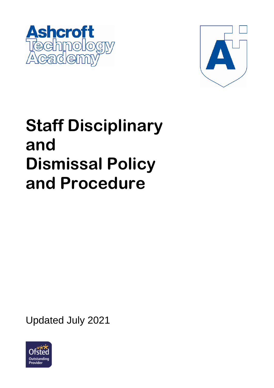



# **Staff Disciplinary and Dismissal Policy and Procedure**

Updated July 2021

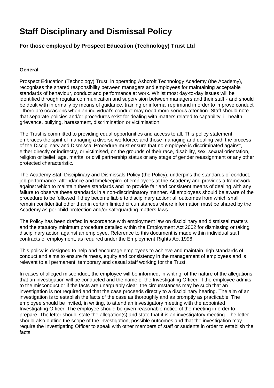# **Staff Disciplinary and Dismissal Policy**

### **For those employed by Prospect Education (Technology) Trust Ltd**

#### **General**

Prospect Education (Technology) Trust, in operating Ashcroft Technology Academy (the Academy), recognises the shared responsibility between managers and employees for maintaining acceptable standards of behaviour, conduct and performance at work. Whilst most day-to-day issues will be identified through regular communication and supervision between managers and their staff - and should be dealt with informally by means of guidance, training or informal reprimand in order to improve conduct - there are occasions when an individual's conduct may need more serious attention. Staff should note that separate policies and/or procedures exist for dealing with matters related to capability, ill-health, grievance, bullying, harassment, discrimination or victimisation.

The Trust is committed to providing equal opportunities and access to all. This policy statement embraces the spirit of managing a diverse workforce; and those managing and dealing with the process of the Disciplinary and Dismissal Procedure must ensure that no employee is discriminated against, either directly or indirectly, or victimised, on the grounds of their race, disability, sex, sexual orientation, religion or belief, age, marital or civil partnership status or any stage of gender reassignment or any other protected characteristic.

The Academy Staff Disciplinary and Dismissals Policy (the Policy), underpins the standards of conduct, job performance, attendance and timekeeping of employees at the Academy and provides a framework against which to maintain these standards and to provide fair and consistent means of dealing with any failure to observe these standards in a non-discriminatory manner. All employees should be aware of the procedure to be followed if they become liable to disciplinary action: all outcomes from which shall remain confidential other than in certain limited circumstances where information must be shared by the Academy as per child protection and/or safeguarding matters laws.

The Policy has been drafted in accordance with employment law on disciplinary and dismissal matters and the statutory minimum procedure detailed within the Employment Act 2002 for dismissing or taking disciplinary action against an employee. Reference to this document is made within individual staff contracts of employment, as required under the Employment Rights Act 1996.

This policy is designed to help and encourage employees to achieve and maintain high standards of conduct and aims to ensure fairness, equity and consistency in the management of employees and is relevant to all permanent, temporary and casual staff working for the Trust.

In cases of alleged misconduct, the employee will be informed, in writing, of the nature of the allegations, that an investigation will be conducted and the name of the Investigating Officer. If the employee admits to the misconduct or if the facts are unarguably clear, the circumstances may be such that an investigation is not required and that the case proceeds directly to a disciplinary hearing. The aim of an investigation is to establish the facts of the case as thoroughly and as promptly as practicable. The employee should be invited, in writing, to attend an investigatory meeting with the appointed Investigating Officer. The employee should be given reasonable notice of the meeting in order to prepare. The letter should state the allegation(s) and state that it is an investigatory meeting. The letter should also outline the scope of the investigation, possible outcomes and that the investigation may require the Investigating Officer to speak with other members of staff or students in order to establish the facts.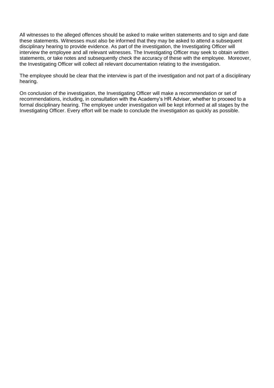All witnesses to the alleged offences should be asked to make written statements and to sign and date these statements. Witnesses must also be informed that they may be asked to attend a subsequent disciplinary hearing to provide evidence. As part of the investigation, the Investigating Officer will interview the employee and all relevant witnesses. The Investigating Officer may seek to obtain written statements, or take notes and subsequently check the accuracy of these with the employee. Moreover, the Investigating Officer will collect all relevant documentation relating to the investigation.

The employee should be clear that the interview is part of the investigation and not part of a disciplinary hearing.

On conclusion of the investigation, the Investigating Officer will make a recommendation or set of recommendations, including, in consultation with the Academy's HR Adviser, whether to proceed to a formal disciplinary hearing. The employee under investigation will be kept informed at all stages by the Investigating Officer. Every effort will be made to conclude the investigation as quickly as possible.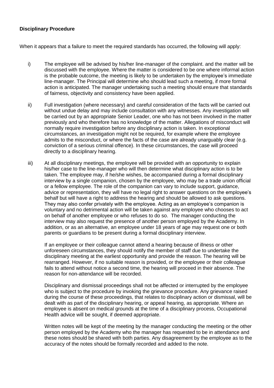#### **Disciplinary Procedure**

When it appears that a failure to meet the required standards has occurred, the following will apply:

- i) The employee will be advised by his/her line-manager of the complaint. and the matter will be discussed with the employee. Where the matter is considered to be one where informal action is the probable outcome, the meeting is likely to be undertaken by the employee's immediate line-manager. The Principal will determine who should lead such a meeting, if more formal action is anticipated. The manager undertaking such a meeting should ensure that standards of fairness, objectivity and consistency have been applied.
- ii) Full investigation (where necessary) and careful consideration of the facts will be carried out without undue delay and may include consultation with any witnesses. Any investigation will be carried out by an appropriate Senior Leader, one who has not been involved in the matter previously and who therefore has no knowledge of the matter. Allegations of misconduct will normally require investigation before any disciplinary action is taken. In exceptional circumstances, an investigation might not be required, for example where the employee admits to the misconduct, or where the facts of the case are already unarguably clear (e.g. conviction of a serious criminal offence). In these circumstances, the case will proceed directly to a disciplinary hearing.
- iii) At all disciplinary meetings, the employee will be provided with an opportunity to explain his/her case to the line-manager who will then determine what disciplinary action is to be taken. The employee may, if he/she wishes, be accompanied during a formal disciplinary interview by a single companion, chosen by the employee, who may be a trade union official or a fellow employee. The role of the companion can vary to include support, guidance, advice or representation, they will have no legal right to answer questions on the employee's behalf but will have a right to address the hearing and should be allowed to ask questions. They may also confer privately with the employee. Acting as an employee's companion is voluntary and no detrimental action will be taken against any employee who chooses to act on behalf of another employee or who refuses to do so. The manager conducting the interview may also request the presence of another person employed by the Academy. In addition, or as an alternative, an employee under 18 years of age may request one or both parents or guardians to be present during a formal disciplinary interview.

If an employee or their colleague cannot attend a hearing because of illness or other unforeseen circumstances, they should notify the member of staff due to undertake the disciplinary meeting at the earliest opportunity and provide the reason. The hearing will be rearranged. However, if no suitable reason is provided, or the employee or their colleague fails to attend without notice a second time, the hearing will proceed in their absence. The reason for non-attendance will be recorded.

Disciplinary and dismissal proceedings shall not be affected or interrupted by the employee who is subject to the procedure by invoking the grievance procedure. Any grievance raised during the course of these proceedings, that relates to disciplinary action or dismissal, will be dealt with as part of the disciplinary hearing, or appeal hearing, as appropriate. Where an employee is absent on medical grounds at the time of a disciplinary process, Occupational Health advice will be sought, if deemed appropriate.

Written notes will be kept of the meeting by the manager conducting the meeting or the other person employed by the Academy who the manager has requested to be in attendance and these notes should be shared with both parties. Any disagreement by the employee as to the accuracy of the notes should be formally recorded and added to the note.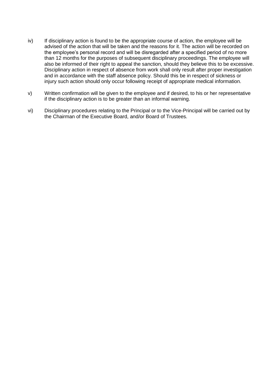- iv) If disciplinary action is found to be the appropriate course of action, the employee will be advised of the action that will be taken and the reasons for it. The action will be recorded on the employee's personal record and will be disregarded after a specified period of no more than 12 months for the purposes of subsequent disciplinary proceedings. The employee will also be informed of their right to appeal the sanction, should they believe this to be excessive. Disciplinary action in respect of absence from work shall only result after proper investigation and in accordance with the staff absence policy. Should this be in respect of sickness or injury such action should only occur following receipt of appropriate medical information.
- v) Written confirmation will be given to the employee and if desired, to his or her representative if the disciplinary action is to be greater than an informal warning.
- vi) Disciplinary procedures relating to the Principal or to the Vice-Principal will be carried out by the Chairman of the Executive Board, and/or Board of Trustees.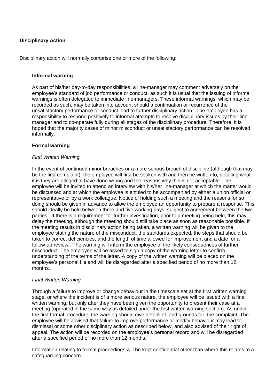#### **Disciplinary Action**

Disciplinary action will normally comprise one or more of the following:

#### **Informal warning**

As part of his/her day-to-day responsibilities, a line-manager may comment adversely on the employee's standard of job performance or conduct, as such it is usual that the issuing of informal warnings is often delegated to immediate line-managers. These informal warnings, which may be recorded as such, may be taken into account should a continuation or recurrence of the unsatisfactory performance or conduct lead to further disciplinary action. The employee has a responsibility to respond positively to informal attempts to resolve disciplinary issues by their linemanager and to co-operate fully during all stages of the disciplinary procedure. Therefore, it is hoped that the majority cases of minor misconduct or unsatisfactory performance can be resolved informally.

#### **Formal warning**

#### *First Written Warning*

In the event of continued minor breaches or a more serious breach of discipline (although that may be the first complaint), the employee will first be spoken with and then be written to, detailing what it is they are alleged to have done wrong and the reasons why this is not acceptable. The employee will be invited to attend an interview with his/her line-manager at which the matter would be discussed and at which the employee is entitled to be accompanied by either a union official or representative or by a work colleague. Notice of holding such a meeting and the reasons for so doing should be given in advance to allow the employee an opportunity to prepare a response. This should ideally be held between three and five working days, subject to agreement between the two parties. If there is a requirement for further investigation, prior to a meeting being held, this may delay the meeting, although the meeting should still take place as soon as reasonable possible. If the meeting results in disciplinary action being taken, a written warning will be given to the employee stating the nature of the misconduct, the standards expected, the steps that should be taken to correct deficiencies, and the length of time allowed for improvement and a date for a follow-up review,. The warning will inform the employee of the likely consequences of further misconduct. The employee will be asked to sign a copy of the warning letter to confirm understanding of the terms of the letter. A copy of the written warning will be placed on the employee's personal file and will be disregarded after a specified period of no more than 12 months.

#### *Final Written Warning*

Through a failure to improve or change behaviour in the timescale set at the first written warning stage, or where the incident is of a more serious nature, the employee will be issued with a final written warning, but only after they have been given the opportunity to present their case at a meeting (operated in the same way as detailed under the first written warning section). As under the first formal procedure, the warning should give details of, and grounds for, the complaint. The employee will be advised that failure to improve performance or modify behaviour may lead to dismissal or some other disciplinary action as described below, and also advised of their right of appeal. The action will be recorded on the employee's personal record and will be disregarded after a specified period of no more than 12 months.

Information relating to formal proceedings will be kept confidential other than where this relates to a safeguarding concern.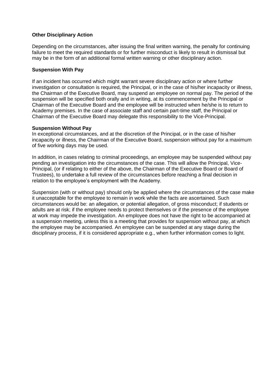#### **Other Disciplinary Action**

Depending on the circumstances, after issuing the final written warning, the penalty for continuing failure to meet the required standards or for further misconduct is likely to result in dismissal but may be in the form of an additional formal written warning or other disciplinary action.

#### **Suspension With Pay**

If an incident has occurred which might warrant severe disciplinary action or where further investigation or consultation is required, the Principal, or in the case of his/her incapacity or illness, the Chairman of the Executive Board, may suspend an employee on normal pay. The period of the suspension will be specified both orally and in writing, at its commencement by the Principal or Chairman of the Executive Board and the employee will be instructed when he/she is to return to Academy premises. In the case of associate staff and certain part-time staff, the Principal or Chairman of the Executive Board may delegate this responsibility to the Vice-Principal.

#### **Suspension Without Pay**

In exceptional circumstances, and at the discretion of the Principal, or in the case of his/her incapacity or illness, the Chairman of the Executive Board, suspension without pay for a maximum of five working days may be used.

In addition, in cases relating to criminal proceedings, an employee may be suspended without pay pending an investigation into the circumstances of the case. This will allow the Principal, Vice-Principal, (or if relating to either of the above, the Chairman of the Executive Board or Board of Trustees), to undertake a full review of the circumstances before reaching a final decision in relation to the employee's employment with the Academy.

Suspension (with or without pay) should only be applied where the circumstances of the case make it unacceptable for the employee to remain in work while the facts are ascertained. Such circumstances would be: an allegation, or potential allegation, of gross misconduct; if students or adults are at risk; if the employee needs to protect themselves or if the presence of the employee at work may impede the investigation. An employee does not have the right to be accompanied at a suspension meeting, unless this is a meeting that provides for suspension without pay, at which the employee may be accompanied. An employee can be suspended at any stage during the disciplinary process, if it is considered appropriate e.g., when further information comes to light.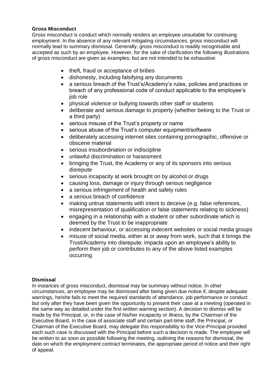#### **Gross Misconduct**

Gross misconduct is conduct which normally renders an employee unsuitable for continuing employment. In the absence of any relevant mitigating circumstances, gross misconduct will normally lead to summary dismissal. Generally, gross misconduct is readily recognisable and accepted as such by an employee. However, for the sake of clarification the following illustrations of gross misconduct are given as examples; but are not intended to be exhaustive:

- theft, fraud or acceptance of bribes
- dishonesty, including falsifying any documents
- a serious breach of the Trust's/Academy's rules, policies and practices or breach of any professional code of conduct applicable to the employee's job role
- physical violence or bullying towards other staff or students
- deliberate and serious damage to property (whether belong to the Trust or a third party)
- serious misuse of the Trust's property or name
- serious abuse of the Trust's computer equipment/software
- deliberately accessing internet sites containing pornographic, offensive or obscene material
- serious insubordination or indiscipline
- unlawful discrimination or harassment
- bringing the Trust, the Academy or any of its sponsors into serious disrepute
- serious incapacity at work brought on by alcohol or drugs
- causing loss, damage or injury through serious negligence
- a serious infringement of health and safety rules
- a serious breach of confidence
- making untrue statements with intent to deceive (e.g. false references, misrepresentation of qualification or false statements relating to sickness)
- engaging in a relationship with a student or other subordinate which is deemed by the Trust to be inappropriate
- indecent behaviour, or accessing indecent websites or social media groups
- misuse of social media, either at or away from work, such that it brings the Trust/Academy into disrepute; impacts upon an employee's ability to perform their job or contributes to any of the above listed examples occurring

#### **Dismissal**

In instances of gross misconduct, dismissal may be summary without notice. In other circumstances, an employee may be dismissed after being given due notice if, despite adequate warnings, he/she fails to meet the required standards of attendance, job performance or conduct but only after they have been given the opportunity to present their case at a meeting (operated in the same way as detailed under the first written warning section). A decision to dismiss will be made by the Principal, or, in the case of his/her incapacity or illness, by the Chairman of the Executive Board. In the case of associate staff and certain part-time staff, the Principal, or Chairman of the Executive Board, may delegate this responsibility to the Vice-Principal provided each such case is discussed with the Principal before such a decision is made. The employee will be written to as soon as possible following the meeting, outlining the reasons for dismissal, the date on which the employment contract terminates, the appropriate period of notice and their right of appeal.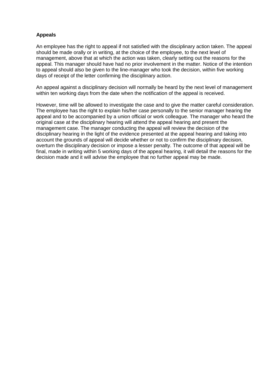#### **Appeals**

An employee has the right to appeal if not satisfied with the disciplinary action taken. The appeal should be made orally or in writing, at the choice of the employee, to the next level of management, above that at which the action was taken, clearly setting out the reasons for the appeal. This manager should have had no prior involvement in the matter. Notice of the intention to appeal should also be given to the line-manager who took the decision, within five working days of receipt of the letter confirming the disciplinary action.

An appeal against a disciplinary decision will normally be heard by the next level of management within ten working days from the date when the notification of the appeal is received.

However, time will be allowed to investigate the case and to give the matter careful consideration. The employee has the right to explain his/her case personally to the senior manager hearing the appeal and to be accompanied by a union official or work colleague. The manager who heard the original case at the disciplinary hearing will attend the appeal hearing and present the management case. The manager conducting the appeal will review the decision of the disciplinary hearing in the light of the evidence presented at the appeal hearing and taking into account the grounds of appeal will decide whether or not to confirm the disciplinary decision, overturn the disciplinary decision or impose a lesser penalty. The outcome of that appeal will be final, made in writing within 5 working days of the appeal hearing, it will detail the reasons for the decision made and it will advise the employee that no further appeal may be made.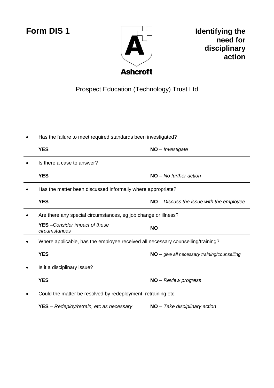

**Form DIS 1 IDENET IDENTIFY IDENTIFY IDENT IDENT need for disciplinary action**

## Prospect Education (Technology) Trust Ltd

| Has the failure to meet required standards been investigated?                   |                                                |
|---------------------------------------------------------------------------------|------------------------------------------------|
| <b>YES</b>                                                                      | $NO$ - Investigate                             |
| Is there a case to answer?                                                      |                                                |
| <b>YES</b>                                                                      | $NO - No$ further action                       |
| Has the matter been discussed informally where appropriate?                     |                                                |
| <b>YES</b>                                                                      | $NO - Discuss the issue with the employee$     |
| Are there any special circumstances, eg job change or illness?                  |                                                |
| <b>YES</b> - Consider impact of these<br>circumstances                          | <b>NO</b>                                      |
| Where applicable, has the employee received all necessary counselling/training? |                                                |
| <b>YES</b>                                                                      | $NO - give$ all necessary training/counselling |
| Is it a disciplinary issue?                                                     |                                                |
| <b>YES</b>                                                                      | NO - Review progress                           |
| Could the matter be resolved by redeployment, retraining etc.                   |                                                |
| <b>YES</b> – Redeploy/retrain, etc as necessary                                 | $NO$ – Take disciplinary action                |